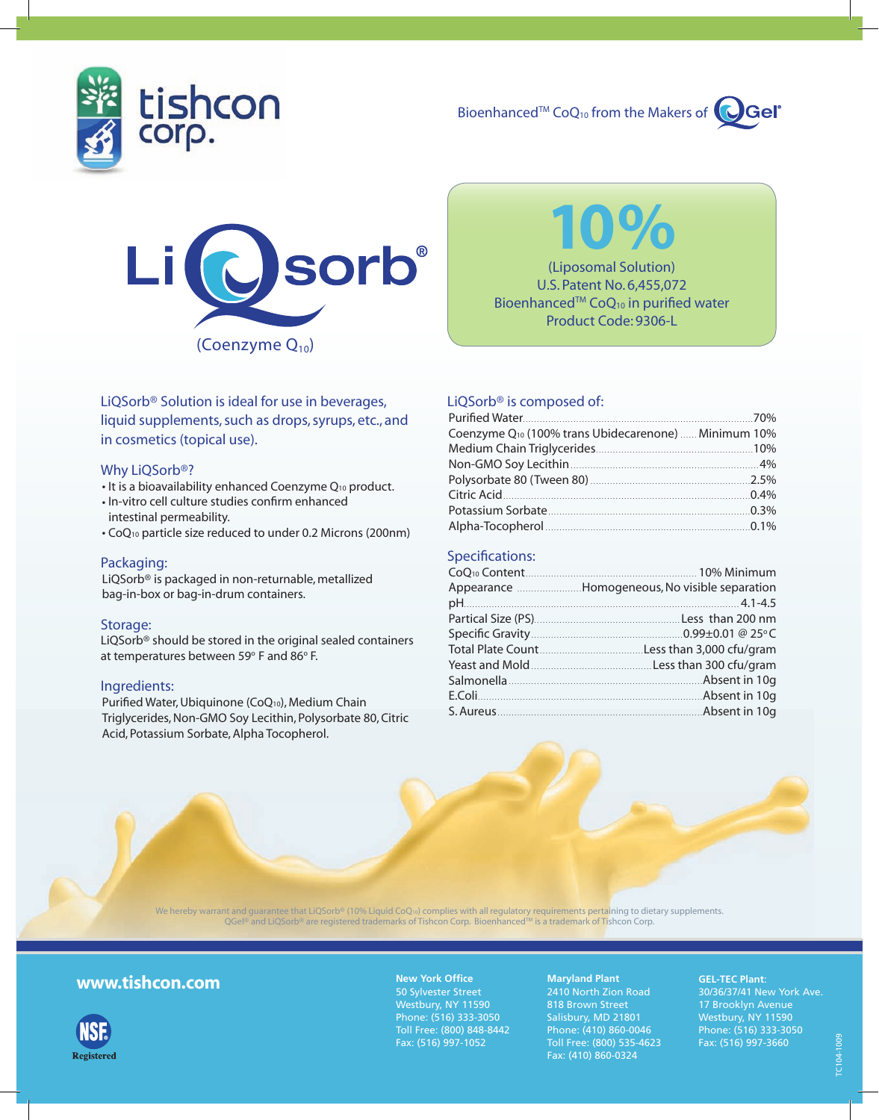

Bioenhanced<sup>TM</sup> CoQ<sub>10</sub> from the Makers of





10% (Liposomal Solution)

U.S. Patent No. 6,455,072 Bioenhanced<sup>TM</sup> CoQ<sub>10</sub> in purified water Product Code: 9306-L

### LiQSorb® Solution is ideal for use in beverages, liquid supplements, such as drops, syrups, etc., and in cosmetics (topical use).

#### Why LiOSorb<sup>®</sup>?

- It is a bioavailability enhanced Coenzyme Q<sub>10</sub> product.
- In-vitro cell culture studies confirm enhanced intestinal permeability.
- CoQ10 particle size reduced to under 0.2 Microns (200nm)

#### Packaging:

LiQSorb® is packaged in non-returnable, metallized bag-in-box or bag-in-drum containers.

#### Storage:

LiQSorb® should be stored in the original sealed containers at temperatures between 59 $\textdegree$  F and 86 $\textdegree$  F.

#### Ingredients:

Purified Water, Ubiquinone (CoQ10), Medium Chain Triglycerides, Non-GMO Soy Lecithin, Polysorbate 80, Citric Acid, Potassium Sorbate, Alpha Tocopherol.

#### LiQSorb® is composed of:

| Coenzyme Q <sub>10</sub> (100% trans Ubidecarenone)  Minimum 10% |  |
|------------------------------------------------------------------|--|
|                                                                  |  |
|                                                                  |  |
|                                                                  |  |
|                                                                  |  |
|                                                                  |  |
|                                                                  |  |

#### Specifications:

| Appearance Homogeneous, No visible separation |
|-----------------------------------------------|
|                                               |
|                                               |
|                                               |
|                                               |
|                                               |
|                                               |
|                                               |
|                                               |
|                                               |



We hereby warrant and guarantee that LiQSorb® (10% Liquid CoQ<sub>10</sub>) complies with all regulatory requirements pertaining to dietary supplements. QGel® and LiQSorb® are registered trademarks of Tishcon Corp. Bioenhanced™ is a trademark of Tishcon Corp.

## www.tishcon.com



**New York Office** 50 Sylvester Street Westbury, NY 11590 Phone: (516) 333-3050 Toll Free: (800) 848-8442 Fax: (516) 997-1052

**Maryland Plant** 2410 North Zion Road 818 Brown Street Salisbury, MD 21801 Phone: (410) 860-0046 Toll Free: (800) 535-4623 Fax: (410) 860-0324

#### **GEL-TEC Plant**:

30/36/37/41 New York Ave. 17 Brooklyn Avenue Westbury, NY 11590 Phone: (516) 333-3050 Fax: (516) 997-3660